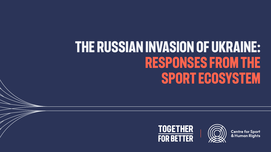## **the RUSSIAN INVASION OF UKRAINE: Responses from the sport ecosystem**





**Centre for Sport** & Human Rights



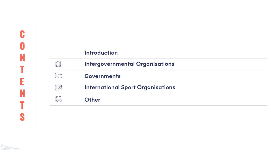#### **Intergovernmental Organisations**

# **CONTENTS** C

#### **International Sport Organisations**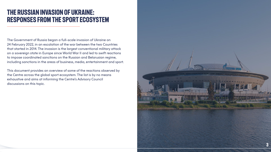#### **THE RUSSIAN INVASION OF UKRAINE: RESPONSES FROM THE SPORT ECOSYSTEM**

The Government of Russia began a full-scale invasion of Ukraine on 24 February 2022, in an escalation of the war between the two Countries that started in 2014. The invasion is the largest conventional military attack on a sovereign state in Europe since World War II and led to swift reactions to impose coordinated sanctions on the Russian and Belarusian regime, including sanctions in the areas of business, media, entertainment and sport.

This document provides an overview of some of the reactions observed by the Centre across the global sport ecosystem. The list is by no means exhaustive and aims at informing the Centre's Advisory Council discussions on this topic.

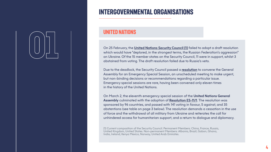On 25 February, the **[United Nations Security Council \[1\]](https://www.un.org/press/en/2022/sc14808.doc.htm)** failed to adopt a draft resolution which would have "deplored, in the strongest terms, the Russian Federation's aggression" on Ukraine. Of the 15 member states on the Security Council, 11 were in support, whilst 3 abstained from voting. The draft resolution failed due to Russia's veto.

Due to the deadlock, the Security Council passed a **[resolution](https://undocs.org/Home/Mobile?FinalSymbol=S%2FRES%2F2623(2022)&Language=E&DeviceType=Desktop&LangRequested=False)** to convene the General Assembly for an Emergency Special Session, an unscheduled meeting to make urgent, but non-binding decisions or recommendations regarding a particular issue. Emergency special sessions are rare, having been convened only eleven times in the history of the United Nations.

On March 2, the eleventh emergency special session of the **United Nations General Assembly** culminated with the adoption of **[Resolution ES-11/1](https://digitallibrary.un.org/record/3959039?ln=en)**. The resolution was sponsored by 96 countries, and passed with 141 voting in favour, 5 against, and 35 abstentions (see table on page 3 below). The resolution demands a cessation in the use of force and the withdrawal of all military from Ukraine and reiterates the call for unhindered access for humanitarian support, and a return to dialogue and diplomacy.

[1] Current composition of the Security Council. Permanent Members: China, France, Russia, United Kingdom, United States. Non-permanent Members: Albania, Brazil, Gabon, Ghana, India, Ireland, Kenya Mexico, Norway, United Arab Emirates.

#### **UNITED NATIONS**

# 01

#### **INTERgovernmental organisations**

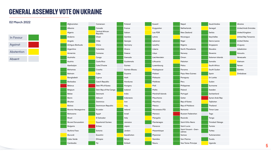| Afghanistan              | Cameroon                           | Finland        | Kuwait           | Nepal                           | Saudi Arabia    | <b>Ukraine</b>              |
|--------------------------|------------------------------------|----------------|------------------|---------------------------------|-----------------|-----------------------------|
| Albania                  | Canada                             | France         | Krygyzstan       | Netherlands                     | Senegal         | <b>United Arab Emirates</b> |
| Algeria                  | <b>Central African</b><br>Republic | Gabon          | Lao PDR          | New Zealand                     | Serbia          | United Kingdom              |
| Andorra                  | Chad                               | Gambia         | Latvia           | Nicaragua                       | Seychelles      | <b>Untied Rep Tanzania</b>  |
| Angola                   | Chile                              | Georgia        | Lebanon          | Niger                           | Sierra Leone    | <b>United States</b>        |
| Antigua-Barbuda          | China                              | Germany        | Lesotho          | Nigeria                         | Singapore       | <b>Uruguay</b>              |
| Argentina                | Colombia                           | Ghana          | Liberia          | <b>North Macedonia</b>          | Slovakia        | Uzbekistan                  |
| Armernia                 | Comoros                            | Greece         | Libya            | Norway                          | Slovenia        | Vanuatu                     |
| Australia                | Congo                              | Grenada        | Liechtenstein    | Oman                            | Solomon Islands | Venezuela                   |
| Austria                  | <b>Costa Rica</b>                  | Guatemala      | Lithuania        | Pakistan                        | Somalia         | Vietnam                     |
| Azerbaijan               | Cote D'Ivoire                      | Guinea         | Luxembourg       | Palau                           | South Africa    | Yemen                       |
| Bahamas                  | Croatia                            | Guinea-Bissau  | Madagascar       | Panama                          | South Sudan     | Zambia                      |
| Bahrain                  | Cuba                               | Guyana         | Malawi           | Papu New Guinea                 | Spain           | Zimbabwe                    |
| Bangladesh               | Cyprus                             | Haiti          | <b>Malaysia</b>  | Paraguay                        | Sri Lanka       |                             |
| Barbados                 | <b>Czech Republic</b>              | Honduras       | <b>Maldives</b>  | Peru                            | Sudan           |                             |
| <b>Belarus</b>           | Dem PR of Korea                    | <b>Hungary</b> | Mali             | Philippines                     | Suriname        |                             |
| Belgium                  | Dem Rep of the Congo               | Iceland        | Malta            | Poland                          | Sweden          |                             |
| Belize                   | Denmark                            | India          | Marshall Islands | Portugal                        | Switzerland     |                             |
| Benin                    | Djibouti                           | Indonesia      | Mauritania       | Qatar                           | Syrian Arab Rep |                             |
| Bhutan                   | Dominica                           | Iran           | <b>Mauritius</b> | Rep of Korea                    | Tajikistan      |                             |
| Bolivia                  | <b>Dominican Republic</b>          | Iraq           | Mexico           | Rep of Moldova                  | Thailand        |                             |
| Bosnia-Herzegovina       | Ecuador                            | Ireland        | Micronesia (FS)  | Romania                         | Timor-Lese      |                             |
| Botswana                 | Egypt                              | <b>Israel</b>  | Monaco           | <b>Russian Federation</b>       | Togo            |                             |
| <b>Brazil</b>            | El Salvador                        | Italy          | Mongolia         | Rwanda                          | Tonga           |                             |
| <b>Brunei Darussalam</b> | <b>Equatorial Guinea</b>           | Jamaica        | Montenegro       | <b>Saint Kitts-Nevis</b>        | Trinidad-Tobago |                             |
| Bulgaria                 | Eritrea                            | Japan          | Morocco          | Saint Lucia                     | Tunisia         |                             |
| Burkina Faso             | Estonia                            | Jordan         | Mozambique       | Saint Vincent - Gren-<br>adines | Turkey          |                             |
| Burundi                  | Eswatini                           | Kazakhstan     | Myanmar          | Samoa                           | Turkmenistan    |                             |
| <b>Cabo Verde</b>        | Ethiopia                           | Kenya          | Namibia          | San Marino                      | Tuvalu          |                             |
| Cambodia                 | Fiji                               | Kiribati       | Nauru            | Sao Tome-Principe               | Uganda          |                             |
|                          |                                    |                |                  |                                 |                 |                             |



#### **02 March 2022**



#### **GENERAL ASSEMBLY VOTE ON UKRAINE**

**5**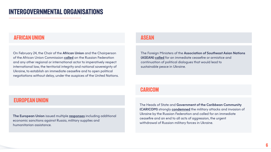#### **AFRICAN UNION ASEAN**

#### **EUROPEAN UNION**

On February 24, the Chair of the **African Union** and the Chairperson of the African Union Commission **[called](https://www.un.org/press/en/2022/sc14808.doc.htm)** on the Russian Federation and any other regional or international actor to imperatively respect international law, the territorial integrity and national sovereignty of Ukraine, to establish an immediate ceasefire and to open political negotiations without delay, under the auspices of the United Nations.

**The European Union** issued multiple **[responses](https://www.consilium.europa.eu/en/policies/eu-response-ukraine-invasion/)** including additional economic sanctions against Russia, military supplies and humanitarian assistance.

The Foreign Ministers of the **Association of Southeast Asian Nations (ASEAN) [called](https://asean.org/asean-foreign-ministers-statement-calling-for-a-ceasefire-in-ukraine/)** for an immediate ceasefire or armistice and continuation of political dialogues that would lead to sustainable peace in Ukraine.

#### **CARICOM**

The Heads of State and **Government of the Caribbean Community (CARICOM)** strongly **[condemned](https://caricom.org/statement-of-the-conference-of-caricom-heads-of-government-on-the-war-and-humanitarian-crisis-in-ukraine/)** the military attacks and invasion of Ukraine by the Russian Federation and called for an immediate ceasefire and an end to all acts of aggression, the urgent withdrawal of Russian military forces in Ukraine.

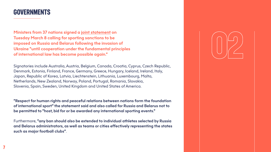#### **governmentS**

**Ministers from 37 nations signed a [joint statement](https://www.gov.uk/government/news/statement-on-russias-war-on-ukraine-international-sport) on Tuesday March 8 calling for sporting sanctions to be imposed on Russia and Belarus following the invasion of Ukraine "until cooperation under the fundamental principles of international law has become possible again."**

Signatories include Australia, Austria, Belgium, Canada, Croatia, Cyprus, Czech Republic, Denmark, Estonia, Finland, France, Germany, Greece, Hungary, Iceland, Ireland, Italy, Japan, Republic of Korea, Latvia, Liechtenstein, Lithuania, Luxembourg, Malta, Netherlands, New Zealand, Norway, Poland, Portugal, Romania, Slovakia, Slovenia, Spain, Sweden, United Kingdom and United States of America.

**"Respect for human rights and peaceful relations between nations form the foundation of international sport" the statement said and also called for Russia and Belarus not to be permitted to "host, bid for or be awarded any international sporting events."**

Furthermore, **"any ban should also be extended to individual athletes selected by Russia and Belarus administrators, as well as teams or cities effectively representing the states such as major football clubs"**.

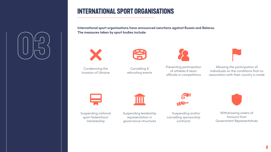#### **International SPORT ORGANISATIONS**

**International sport organisations have announced sanctions against Russia and Belarus. The measures taken by sport bodies include:**



Condemning the invasion of Ukraine



Cancelling & relocating events



Preventing participation of athletes & team officials in competitions

| T<br>7 |                       |
|--------|-----------------------|
|        | c<br>٦<br>ì<br>×<br>٦ |
|        |                       |

Allowing the participation of individuals on the conditions that no association with their country is made





Suspending national sport federations' membership

Suspending leadership representation in governance structures



Withdrawing orders of honours from Government Representatives



Suspending and/or cancelling sponsorship contracts





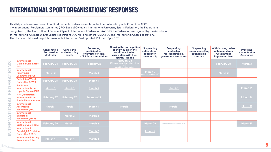|                                                                                     | <b>Condemning</b><br>the invasion<br>of Ukraine | <b>Cancelling</b><br>and relocating<br>events | <b>Preventing</b><br>participation<br>of athletes & team<br>officials in competitions | <b>Allowing the participation</b><br>of individuals on the<br>conditions that no<br>association with their<br>country is made | <b>Suspending</b><br>national sport<br>federation<br>membership | <b>Suspending</b><br>leadership<br>representation in<br>governance structures | <b>Suspending</b><br>and/or cancelling<br>sponsorship<br>contracts | <b>Withdrawing orders</b><br>of honours from<br>Government<br><b>Representatives</b> | <b>Providing</b><br>Humanitarian<br><b>Assistance</b> |
|-------------------------------------------------------------------------------------|-------------------------------------------------|-----------------------------------------------|---------------------------------------------------------------------------------------|-------------------------------------------------------------------------------------------------------------------------------|-----------------------------------------------------------------|-------------------------------------------------------------------------------|--------------------------------------------------------------------|--------------------------------------------------------------------------------------|-------------------------------------------------------|
| <b>International</b><br><b>Olympic Committee</b><br>(IOC)                           | <b>February 24</b>                              | <b>February 25</b>                            | <b>February 28</b>                                                                    | <u>February 28</u><br>(Wherever preventing participation is<br>not<br>possible on short notice)                               |                                                                 |                                                                               |                                                                    | February 28                                                                          | March 3                                               |
| <b>International</b><br><b>Paralympic</b><br><b>Committee (IPC)</b>                 | March 2                                         |                                               | March 3                                                                               |                                                                                                                               | March 2<br>ntention to discuss it                               |                                                                               |                                                                    | March 2                                                                              |                                                       |
| <b>Badminton World</b><br><b>Federation (BWF)</b>                                   | <b>February 28</b>                              | <b>February 28</b>                            | March 1                                                                               |                                                                                                                               |                                                                 |                                                                               |                                                                    |                                                                                      |                                                       |
| <b>Fédération</b><br>Internationale de<br><b>Luge de Course (FIL)</b>               | March 2                                         | March 2                                       | March 2                                                                               |                                                                                                                               |                                                                 | March 2                                                                       |                                                                    |                                                                                      | March 14                                              |
| <b>FIFA (Fédération</b><br>Internationale de<br><b>Football Association)</b>        | <b>February 27</b>                              | <b>February 27</b>                            | <b>February 27</b>                                                                    |                                                                                                                               |                                                                 |                                                                               |                                                                    |                                                                                      | March 19                                              |
| <b>International</b><br><b>Automobile</b><br><b>Federation (FIA)</b>                | March 1                                         | March 1                                       | March 1                                                                               | March 1                                                                                                                       |                                                                 | March 1                                                                       |                                                                    |                                                                                      | March 11                                              |
| <b>International</b><br><b>Basketball</b><br><b>Federation (FIBA)</b>               |                                                 | March 2                                       | March 2                                                                               |                                                                                                                               |                                                                 |                                                                               |                                                                    |                                                                                      |                                                       |
| <b>International</b><br><b>Biathlon Union (IBU)</b>                                 | <b>February 26</b>                              | March 2                                       | March 2                                                                               |                                                                                                                               | March 29                                                        | No representation since 2017                                                  |                                                                    |                                                                                      | March 17                                              |
| <b>International</b><br><b>Bobsleigh &amp; Skeleton</b><br><b>Federation (IBSF)</b> |                                                 |                                               | March 2                                                                               |                                                                                                                               | March 2                                                         |                                                                               |                                                                    |                                                                                      |                                                       |
| <b>International Boxing</b><br><b>Association (IBA)</b>                             | March 4                                         | March 4                                       | March 4                                                                               |                                                                                                                               |                                                                 |                                                                               |                                                                    |                                                                                      |                                                       |



























#### **INTERNATIONAL Sport organisations' Responses**

This list provides an overview of public statements and responses from the International Olympic Committee (IOC), the International Paralympic Committee (IPC), Special Olympics, International University Sports Federation, the Federations recognised by the Association of Summer Olympic International Federations (ASOIF), the Federations recognised by the Association of International Olympic Winter Sports Federations (AIOWF) and others (UEFA, FIA, and International Chess Federation). The document is based on publicly available information (last updated 29 March 3pm CET).



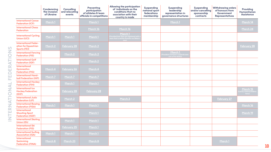

#### 

**(erg -**

 $\overline{\phantom{a}}$ 

|                                                                            | <b>Condemning</b><br>the invasion<br>of Ukraine | <b>Cancelling</b><br>and relocating<br>events | <b>Preventing</b><br>participation<br>of athletes & team<br>officials in competitions | <b>Allowing the participation</b><br>of individuals on the<br>conditions that no<br>asociation with their<br>country is made                                                                                       | Suspending<br>national sport<br>federations<br>membership | <b>Suspending</b><br>leadership<br>representation in<br>governance structures | <b>Suspending</b><br>and/or cancelling<br>sponsorship<br>contracts | <b>Withdrawing orders</b><br>of honours from<br>Government<br><b>Representatives</b> | <b>Providing</b><br>Humanitaria<br><b>Assistance</b> |
|----------------------------------------------------------------------------|-------------------------------------------------|-----------------------------------------------|---------------------------------------------------------------------------------------|--------------------------------------------------------------------------------------------------------------------------------------------------------------------------------------------------------------------|-----------------------------------------------------------|-------------------------------------------------------------------------------|--------------------------------------------------------------------|--------------------------------------------------------------------------------------|------------------------------------------------------|
| <b>International Canoe</b><br><b>Federation (ICF)</b>                      | March 1                                         |                                               | March 1                                                                               |                                                                                                                                                                                                                    |                                                           | March 1                                                                       |                                                                    |                                                                                      | March 14                                             |
| <b>International Chess</b><br><b>Federation</b>                            |                                                 |                                               | March 16                                                                              | March 16                                                                                                                                                                                                           |                                                           |                                                                               |                                                                    |                                                                                      | March 24                                             |
| <b>International Cycling</b><br><b>Union (UCI)</b>                         | March 1                                         | March 1                                       | March 1                                                                               | March 1<br>(Provided that they are registered with a<br>team that is neither Russian nor Belaru-<br>in the state of the state of the state of the state of the state of the state of the state of the state of the |                                                           |                                                                               |                                                                    |                                                                                      |                                                      |
| <b>International Feder-</b><br>ation for Equestrian<br><b>Sports (FEI)</b> | March 2                                         | February 28                                   | March 2                                                                               |                                                                                                                                                                                                                    |                                                           |                                                                               |                                                                    |                                                                                      | <b>February 28</b>                                   |
| <b>International Fencing</b><br><b>Federation (FIE)</b>                    |                                                 | March 2                                       | March 2                                                                               |                                                                                                                                                                                                                    |                                                           | March 1<br>(President Usmanov suspends exer-<br>cise of his duties)           |                                                                    |                                                                                      |                                                      |
| <b>International Golf</b><br><b>Federation (IGF)</b>                       |                                                 |                                               | March 2                                                                               |                                                                                                                                                                                                                    |                                                           |                                                                               |                                                                    |                                                                                      |                                                      |
| <b>International</b><br><b>Gymnastics</b><br><b>Federation (FIG)</b>       | March 4                                         | <b>February 26</b>                            | March 4                                                                               |                                                                                                                                                                                                                    |                                                           |                                                                               |                                                                    |                                                                                      |                                                      |
| <b>International Hand-</b><br><b>ball Federation (IHF)</b>                 | March 7                                         | March 7                                       | March 7                                                                               |                                                                                                                                                                                                                    |                                                           |                                                                               |                                                                    |                                                                                      |                                                      |
| <b>International Hockey</b><br><b>Federation (FIH)</b>                     |                                                 | March 1                                       | March 1                                                                               |                                                                                                                                                                                                                    |                                                           |                                                                               |                                                                    |                                                                                      |                                                      |
| <b>International Ice</b><br><b>Hockey Federation</b><br>(IIHF)             |                                                 | <b>February 28</b>                            | <b>February 28</b>                                                                    |                                                                                                                                                                                                                    |                                                           |                                                                               |                                                                    |                                                                                      | March 15<br>(Led by national fede<br>tions)          |
| <b>International Judo</b><br><b>Federation (IJF)</b>                       |                                                 | March 2                                       |                                                                                       | March 2                                                                                                                                                                                                            |                                                           |                                                                               |                                                                    | <b>February 27</b>                                                                   |                                                      |
| <b>International Rowing</b><br><b>Federation (FISA)</b>                    | March 1                                         | March 1                                       | March 1                                                                               |                                                                                                                                                                                                                    |                                                           |                                                                               |                                                                    |                                                                                      | March 16                                             |
| <b>International</b><br><b>Shooting Sport</b><br><b>Federation (ISSF)</b>  |                                                 |                                               | March 1                                                                               |                                                                                                                                                                                                                    |                                                           |                                                                               |                                                                    |                                                                                      | March 19                                             |
| <b>International Skating</b><br><b>Union (ISU)</b>                         |                                                 | March 1                                       | March 1                                                                               |                                                                                                                                                                                                                    |                                                           |                                                                               |                                                                    |                                                                                      |                                                      |
| <b>International Ski</b><br><b>Federation (FIS)</b>                        |                                                 | <b>February 25</b>                            | March 1                                                                               |                                                                                                                                                                                                                    |                                                           |                                                                               |                                                                    |                                                                                      |                                                      |
| <b>International Surfing</b><br><b>Association (ISA)</b>                   | March 1                                         | March 1                                       | March 1                                                                               |                                                                                                                                                                                                                    |                                                           |                                                                               |                                                                    |                                                                                      |                                                      |
| <b>International</b><br><b>Swimming</b><br><b>Federation (FINA)</b>        | March 8                                         | March 23                                      | March 8                                                                               |                                                                                                                                                                                                                    |                                                           |                                                                               |                                                                    | March 1                                                                              |                                                      |

**10**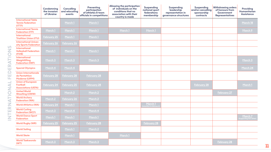

<mark>(t</mark>er)<br>Iter)

 $\overline{\phantom{a}}$ 

|                                                                    | <b>Condemning</b><br>the invasion<br>of Ukraine | <b>Cancelling</b><br>and relocating<br>events | <b>Preventing</b><br>participation<br>of athletes & team<br>officials in competitions | <b>Allowing the participation</b><br>of individuals on the<br>conditions that no<br>association with their<br>country is made | Suspending<br>national sport<br>federations<br>membership | <b>Suspending</b><br>leadership<br>representation in<br>governance structures | <b>Suspending</b><br>and/or cancelling<br>sponsorship<br>contracts | <b>Withdrawing orders</b><br>of honours from<br>Government<br><b>Representatives</b> | <b>Providing</b><br><b>Humanitario</b><br><b>Assistance</b> |
|--------------------------------------------------------------------|-------------------------------------------------|-----------------------------------------------|---------------------------------------------------------------------------------------|-------------------------------------------------------------------------------------------------------------------------------|-----------------------------------------------------------|-------------------------------------------------------------------------------|--------------------------------------------------------------------|--------------------------------------------------------------------------------------|-------------------------------------------------------------|
| <b>International Table</b><br><b>Tennis Federation</b><br>(ITTF)   |                                                 | March 1                                       | March 1                                                                               |                                                                                                                               |                                                           |                                                                               |                                                                    |                                                                                      | March 18                                                    |
| <b>International Tennis</b><br><b>Federation (ITF)</b>             | March 1                                         | March 1                                       | March 1                                                                               | March 1                                                                                                                       | March 1                                                   |                                                                               |                                                                    |                                                                                      | March 9                                                     |
| <b>International</b><br><b>Triathlon Union (ITU)</b>               | <b>February 25</b>                              | March 1                                       | March 1                                                                               |                                                                                                                               |                                                           |                                                                               |                                                                    |                                                                                      |                                                             |
| <b>International Univer-</b><br>sity Sports Federation             | <b>February 26</b>                              | February 26                                   |                                                                                       |                                                                                                                               |                                                           |                                                                               |                                                                    |                                                                                      |                                                             |
| <b>International</b><br><b>Volleyball Federation</b><br>(FIVB)     | March 1                                         | March 1                                       | March 1                                                                               |                                                                                                                               |                                                           |                                                                               |                                                                    |                                                                                      |                                                             |
| <b>International</b><br>Weightlifting<br><b>Federation (IWF)</b>   | March 3                                         | March 3                                       | March 3                                                                               |                                                                                                                               |                                                           |                                                                               |                                                                    |                                                                                      | March 3                                                     |
| <b>Special Olympics</b>                                            | March 4                                         | March 4                                       |                                                                                       |                                                                                                                               |                                                           |                                                                               |                                                                    |                                                                                      | March 24                                                    |
| <b>Union Internationale</b><br>de Pentathlon<br>Moderne (UIPM)     | <b>February 28</b>                              | <b>February 28</b>                            | <b>February 28</b>                                                                    |                                                                                                                               |                                                           |                                                                               |                                                                    |                                                                                      |                                                             |
| <b>Union of European</b><br>Football<br><b>Associations (UEFA)</b> | <b>February 24</b>                              | <b>February 25</b>                            | <b>February 28</b>                                                                    |                                                                                                                               |                                                           |                                                                               | <b>February 28</b>                                                 |                                                                                      | March 1                                                     |
| <b>United World</b><br><b>Wrestling (UWW)</b>                      |                                                 | March 2                                       | March 2                                                                               |                                                                                                                               |                                                           |                                                                               |                                                                    | <b>February 27</b>                                                                   |                                                             |
| <b>World Archery</b><br><b>Federation (WA)</b>                     | March 2                                         | February 26                                   | March 2                                                                               |                                                                                                                               |                                                           |                                                                               |                                                                    |                                                                                      |                                                             |
| <b>World Athletics (WA)</b>                                        | <b>February 24</b>                              | March 1                                       | March 1                                                                               |                                                                                                                               | March 1<br>(Intention to discuss it                       |                                                                               |                                                                    |                                                                                      |                                                             |
| <b>World Curling</b><br><b>Federation (WCF)</b>                    | March 3                                         | March 4                                       | March 4                                                                               |                                                                                                                               |                                                           |                                                                               |                                                                    |                                                                                      |                                                             |
| <b>World Dance Sport</b><br><b>Federation</b>                      | March 1                                         | March 1                                       | March 1                                                                               |                                                                                                                               |                                                           |                                                                               |                                                                    |                                                                                      | March 7<br>(Supporting IOC let                              |
| <b>World Rugby (WR)</b>                                            | <b>February 25</b>                              | <b>February 25</b>                            | <b>February 28</b>                                                                    |                                                                                                                               | February 28                                               |                                                                               |                                                                    |                                                                                      |                                                             |
| <b>World Sailing</b>                                               |                                                 | March 1                                       | March 2                                                                               |                                                                                                                               |                                                           |                                                                               |                                                                    |                                                                                      |                                                             |
| <b>World Skate</b>                                                 |                                                 | March 1                                       |                                                                                       | March 1                                                                                                                       |                                                           |                                                                               |                                                                    |                                                                                      |                                                             |
| <b>World Taekwondo</b><br>(WT)                                     | March 3                                         | March 3                                       | March 3                                                                               |                                                                                                                               |                                                           |                                                                               |                                                                    | <b>February 28</b>                                                                   |                                                             |

**11**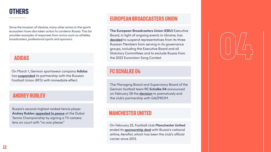



#### **ADIDAS**

#### **eUROPEAN BROADCASTERS UNION**

#### **ANDREY RUBLEV**

On March 1, German sportswear company **Adidas** has **[suspended](https://www.reuters.com/lifestyle/sports/adidas-suspends-partnership-with-russian-football-union-2022-03-01/)** its partnership with the Russian Football Union (RFS) with immediate effect.

Russia's second-highest ranked tennis player **Andrey Rublev [appealed to peace](https://edition.cnn.com/2022/02/25/world/ukraine-daniil-medvedev-andrey-rublev-tennis-russia-cec-spt/index.html)** at the Dubai Tennis Championship by signing a TV camera lens on court with "no war please."

**The European Broadcasters Union (EBU)** Executive Board, in light of ongoing events in Ukraine, has [decided](https://www.ebu.ch/news/2022/03/statement-on-russian-members) to suspend representatives from its three Russian Members from serving in its governance groups, including the Executive Board and all Statutory Committees and to exclude Russia from the 2022 Eurovision Song Contest.

#### **FC SCHALKE 04**

The Managing Board and Supervisory Board of the German football team **FC Schalke 04** announced on February 28 the **[decision](https://schalke04.de/en/s04/partnership-s04-gazprom-ends-prematurely/)** to prematurely end the club's partnership with GAZPROM.

#### **MANCHESTER UNITED**

On February 25, Football club **Manchester United** ended its **[sponsorship deal](https://www.manutd.com/en/news/detail/man-utd-official-club-statement-on-aeroflot)** with Russia's national airline, Aeroflot, which has been the club's official carrier since 2013.

Since the invasion of Ukraine, many other actors in the sports ecosystem have also taken action to condemn Russia. This list provides examples of responses from actors such as athletes, broadcasters, professional sports and sponsors.